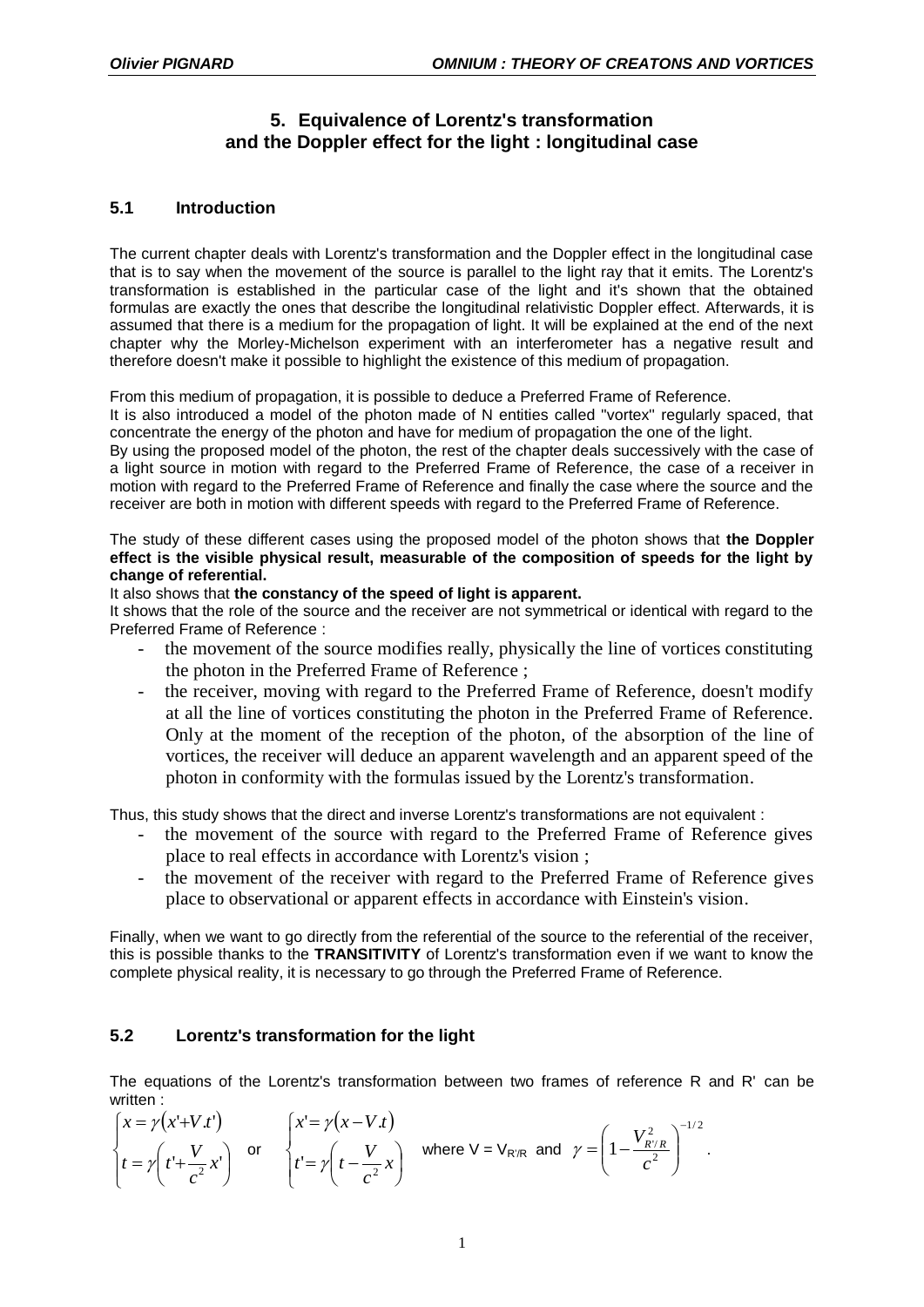# **5. Equivalence of Lorentz's transformation and the Doppler effect for the light : longitudinal case**

## **5.1 Introduction**

The current chapter deals with Lorentz's transformation and the Doppler effect in the longitudinal case that is to say when the movement of the source is parallel to the light ray that it emits. The Lorentz's transformation is established in the particular case of the light and it's shown that the obtained formulas are exactly the ones that describe the longitudinal relativistic Doppler effect. Afterwards, it is assumed that there is a medium for the propagation of light. It will be explained at the end of the next chapter why the Morley-Michelson experiment with an interferometer has a negative result and therefore doesn't make it possible to highlight the existence of this medium of propagation.

From this medium of propagation, it is possible to deduce a Preferred Frame of Reference.

It is also introduced a model of the photon made of N entities called ''vortex'' regularly spaced, that concentrate the energy of the photon and have for medium of propagation the one of the light.

By using the proposed model of the photon, the rest of the chapter deals successively with the case of a light source in motion with regard to the Preferred Frame of Reference, the case of a receiver in motion with regard to the Preferred Frame of Reference and finally the case where the source and the receiver are both in motion with different speeds with regard to the Preferred Frame of Reference.

The study of these different cases using the proposed model of the photon shows that **the Doppler effect is the visible physical result, measurable of the composition of speeds for the light by change of referential.**

It also shows that **the constancy of the speed of light is apparent.**

It shows that the role of the source and the receiver are not symmetrical or identical with regard to the Preferred Frame of Reference :

- the movement of the source modifies really, physically the line of vortices constituting the photon in the Preferred Frame of Reference ;
- the receiver, moving with regard to the Preferred Frame of Reference, doesn't modify at all the line of vortices constituting the photon in the Preferred Frame of Reference. Only at the moment of the reception of the photon, of the absorption of the line of vortices, the receiver will deduce an apparent wavelength and an apparent speed of the photon in conformity with the formulas issued by the Lorentz's transformation.

Thus, this study shows that the direct and inverse Lorentz's transformations are not equivalent :

- the movement of the source with regard to the Preferred Frame of Reference gives place to real effects in accordance with Lorentz's vision ;
- the movement of the receiver with regard to the Preferred Frame of Reference gives place to observational or apparent effects in accordance with Einstein's vision.

Finally, when we want to go directly from the referential of the source to the referential of the receiver, this is possible thanks to the **TRANSITIVITY** of Lorentz's transformation even if we want to know the complete physical reality, it is necessary to go through the Preferred Frame of Reference.

## **5.2 Lorentz's transformation for the light**

The equations of the Lorentz's transformation between two frames of reference R and R' can be written :

$$
\begin{cases}\nx = \gamma(x'+V.t') \\
t = \gamma(t'+\frac{V}{c^2}x')\n\end{cases}
$$
 or 
$$
\begin{cases}\nx' = \gamma(x-V.t) \\
t' = \gamma(t-\frac{V}{c^2}x)\n\end{cases}
$$
 where  $V = V_{R'R}$  and  $\gamma = \left(1-\frac{V_{R'/R}^2}{c^2}\right)^{-1/2}$ .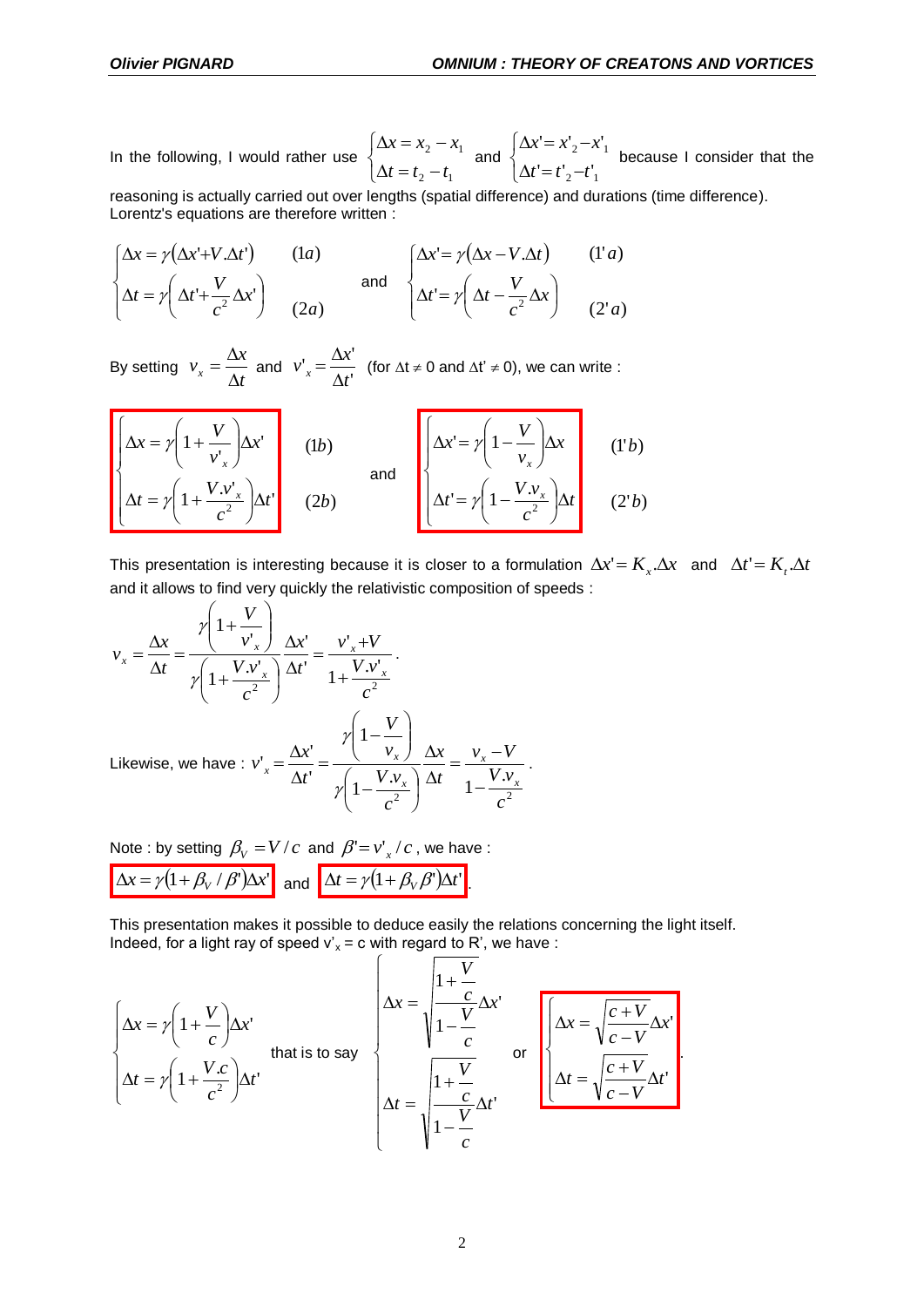.

In the following, I would rather use  $\overline{\mathcal{L}}$ ⇃  $\int$  $\Delta t = t_2 \Delta x = x_2 -$ 2  $\iota_1$ 2  $\lambda_1$  $t = t_2 - t$  $x = x_2 - x$ and  $\overline{\mathcal{L}}$ ⇃  $\int$  $\Delta t' = t'_{2} \Delta x' = x'_2 -$ 2  $\iota$  1 2  $\lambda$  1  $' = t'$ <sub>2</sub>  $-t'$  $' = x'_{2} - x'$  $t' = t'_{2} - t$  $x = x'_2 - x$ because I consider that the

reasoning is actually carried out over lengths (spatial difference) and durations (time difference). Lorentz's equations are therefore written :

$$
\begin{cases}\n\Delta x = \gamma(\Delta x' + V \cdot \Delta t') & (1a) \\
\Delta t = \gamma(\Delta t' + \frac{V}{c^2} \Delta x') & (2a)\n\end{cases}
$$
 and 
$$
\begin{cases}\n\Delta x' = \gamma(\Delta x - V \cdot \Delta t) & (1'a) \\
\Delta t' = \gamma(\Delta t - \frac{V}{c^2} \Delta x) & (2'a)\n\end{cases}
$$

By setting  $v_x = \frac{\Delta t}{\Delta t}$  $v_x = \frac{\Delta x}{\Delta t}$  $=\frac{\Delta x}{\Delta t}$  and  $v'_{x} = \frac{\Delta x'}{\Delta t'}$  $\int_{x}^{t} = \frac{\Delta x'}{\Delta t'}$  $v'_{x} = \frac{\Delta x}{\Delta t}$  $=\frac{\Delta x'}{x}$  (for  $\Delta t \neq 0$  and  $\Delta t' \neq 0$ ), we can write :

$$
\begin{bmatrix}\n\Delta x = \gamma \left(1 + \frac{V}{v_x}\right) \Delta x' & (1b) \\
\Delta t = \gamma \left(1 + \frac{V.v_x}{c^2}\right) \Delta t'\n\end{bmatrix}
$$
\n(1b)\nand\n
$$
\begin{bmatrix}\n\Delta x' = \gamma \left(1 - \frac{V}{v_x}\right) \Delta x \\
\Delta t' = \gamma \left(1 - \frac{V.v_x}{c^2}\right) \Delta t'\n\end{bmatrix}
$$
\n(1'b)\n(1'b)

This presentation is interesting because it is closer to a formulation  $\Delta x' = K_x.\Delta x$  and  $\Delta t' = K_x.\Delta t$ and it allows to find very quickly the relativistic composition of speeds :

$$
v_x = \frac{\Delta x}{\Delta t} = \frac{\gamma \left(1 + \frac{V}{v_x}\right)}{\gamma \left(1 + \frac{V.v_x}{c^2}\right)} \frac{\Delta x'}{\Delta t'} = \frac{v_x' + V}{1 + \frac{V.v_x'}{c^2}}.
$$
  
Likewise, we have :  $v_x' = \frac{\Delta x'}{\Delta t'} = \frac{\gamma \left(1 - \frac{V}{v_x}\right)}{\gamma \left(1 - \frac{V.v_x}{c^2}\right)} \frac{\Delta x}{\Delta t} = \frac{v_x - V}{1 - \frac{V.v_x}{c^2}}.$ 

Note : by setting  $\beta_{\rm V} = V/c$  and  $\beta' {=} v_{\rm x}^\prime / c$  , we have :  $\Delta x = \gamma (1 + \beta_V / \beta') \Delta x'$  and  $\Delta t = \gamma (1 + \beta_V \beta') \Delta t'$ .

This presentation makes it possible to deduce easily the relations concerning the light itself. Indeed, for a light ray of speed  $v'_x = c$  with regard to R', we have :

$$
\begin{cases}\n\Delta x = \gamma \left( 1 + \frac{V}{c} \right) \Delta x' & \text{that is to say} \\
\Delta t = \gamma \left( 1 + \frac{V.c}{c^2} \right) \Delta t' & \text{that is to say}\n\end{cases}\n\begin{cases}\n\Delta x = \sqrt{\frac{1 + \frac{V}{c}}{1 - \frac{V}{c}}} \Delta x' & \text{or} \\
\Delta t = \sqrt{\frac{1 + \frac{V}{c}}{1 - \frac{V}{c}}} \Delta t' & \text{or} \\
\Delta t = \sqrt{\frac{1 + \frac{V}{c}}{1 - \frac{V}{c}}} \Delta t'\n\end{cases}
$$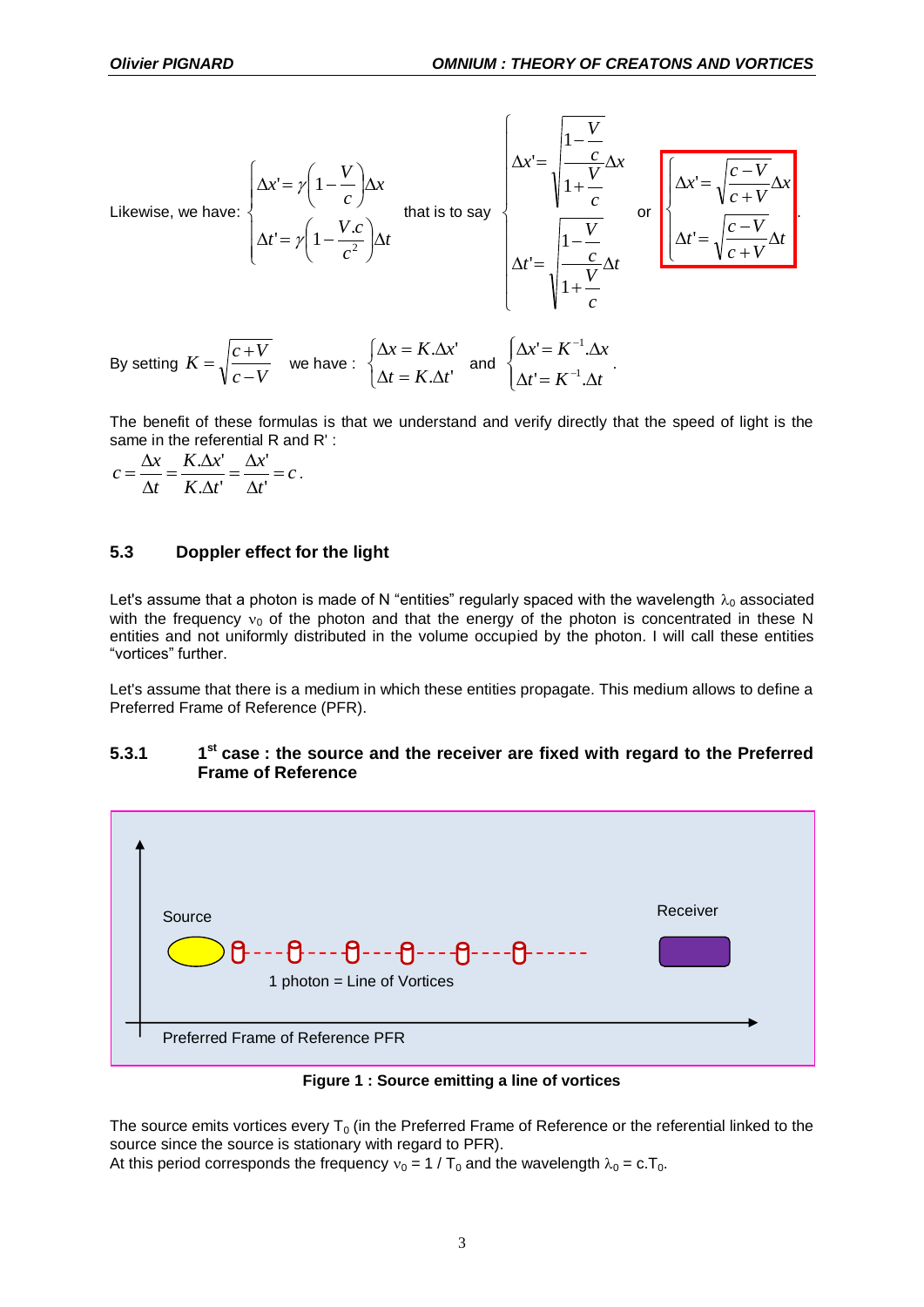

By setting 
$$
K = \sqrt{\frac{c+V}{c-V}}
$$
 we have:  $\begin{cases} \Delta x = K.\Delta x' \\ \Delta t = K.\Delta t' \end{cases}$  and  $\begin{cases} \Delta x' = K^{-1}.\Delta x \\ \Delta t' = K^{-1}.\Delta t' \end{cases}$ .

The benefit of these formulas is that we understand and verify directly that the speed of light is the same in the referential R and R' :

$$
c = \frac{\Delta x}{\Delta t} = \frac{K.\Delta x'}{K.\Delta t'} = \frac{\Delta x'}{\Delta t'} = c.
$$

### **5.3 Doppler effect for the light**

Let's assume that a photon is made of N "entities" regularly spaced with the wavelength  $\lambda_0$  associated with the frequency  $v_0$  of the photon and that the energy of the photon is concentrated in these N entities and not uniformly distributed in the volume occupied by the photon. I will call these entities "vortices" further.

Let's assume that there is a medium in which these entities propagate. This medium allows to define a Preferred Frame of Reference (PFR).

#### **5.3.1 1 st case : the source and the receiver are fixed with regard to the Preferred Frame of Reference**



**Figure 1 : Source emitting a line of vortices**

The source emits vortices every  $T_0$  (in the Preferred Frame of Reference or the referential linked to the source since the source is stationary with regard to PFR).

At this period corresponds the frequency  $v_0 = 1 / T_0$  and the wavelength  $\lambda_0 = c.T_0$ .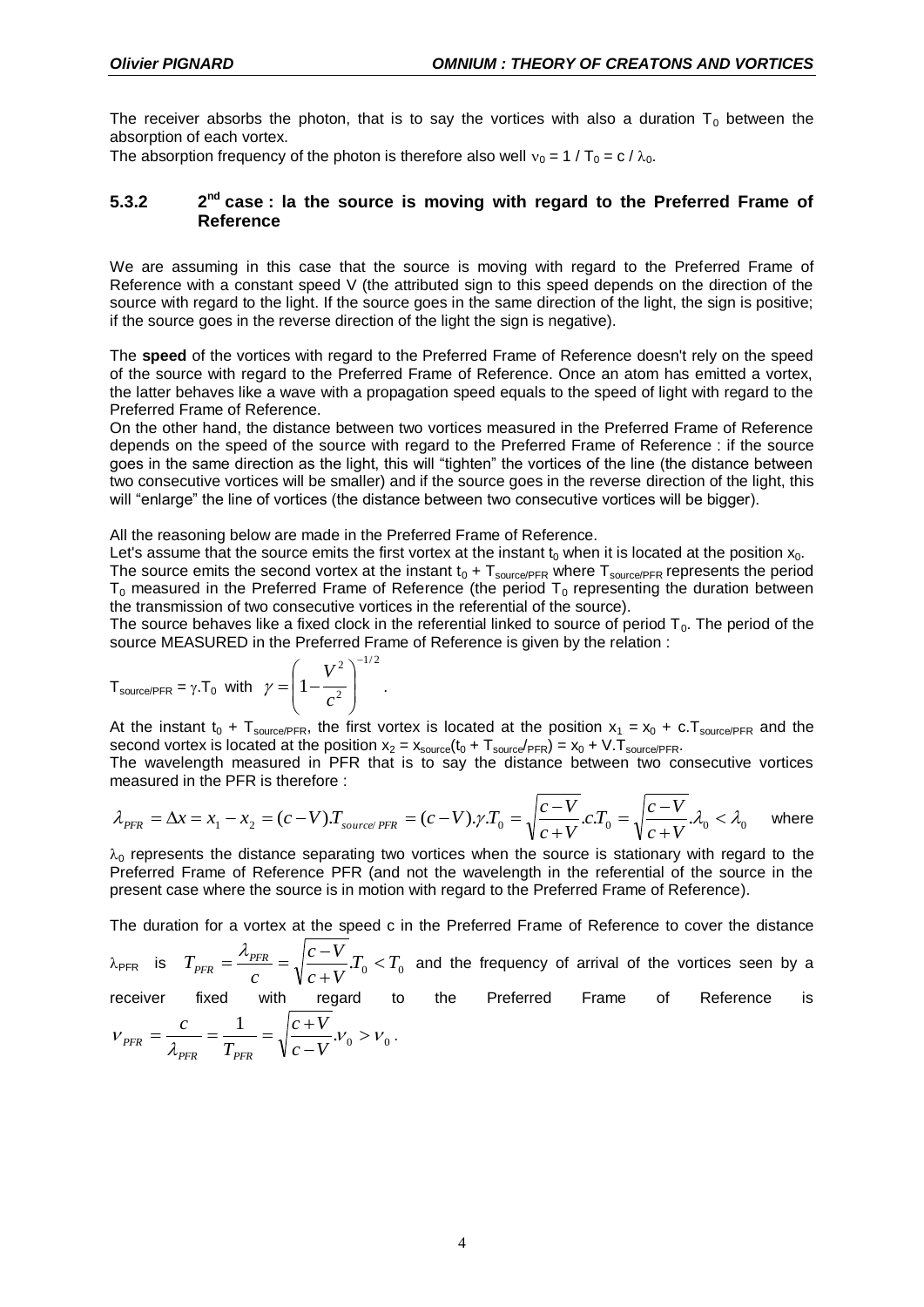The receiver absorbs the photon, that is to say the vortices with also a duration  $T_0$  between the absorption of each vortex.

The absorption frequency of the photon is therefore also well  $v_0 = 1 / T_0 = c / \lambda_0$ .

#### **5.3.2 2** 2<sup>nd</sup> case : la the source is moving with regard to the Preferred Frame of **Reference**

We are assuming in this case that the source is moving with regard to the Preferred Frame of Reference with a constant speed V (the attributed sign to this speed depends on the direction of the source with regard to the light. If the source goes in the same direction of the light, the sign is positive; if the source goes in the reverse direction of the light the sign is negative).

The **speed** of the vortices with regard to the Preferred Frame of Reference doesn't rely on the speed of the source with regard to the Preferred Frame of Reference. Once an atom has emitted a vortex, the latter behaves like a wave with a propagation speed equals to the speed of light with regard to the Preferred Frame of Reference.

On the other hand, the distance between two vortices measured in the Preferred Frame of Reference depends on the speed of the source with regard to the Preferred Frame of Reference : if the source goes in the same direction as the light, this will "tighten" the vortices of the line (the distance between two consecutive vortices will be smaller) and if the source goes in the reverse direction of the light, this will "enlarge" the line of vortices (the distance between two consecutive vortices will be bigger).

All the reasoning below are made in the Preferred Frame of Reference.

Let's assume that the source emits the first vortex at the instant  $t_0$  when it is located at the position  $x_0$ . The source emits the second vortex at the instant  $t_0 + T_{source/PFR}$  where  $T_{source/PFR}$  represents the period  $T_0$  measured in the Preferred Frame of Reference (the period  $T_0$  representing the duration between the transmission of two consecutive vortices in the referential of the source).

The source behaves like a fixed clock in the referential linked to source of period  $T_0$ . The period of the source MEASURED in the Preferred Frame of Reference is given by the relation :

$$
T_{\text{source/PFR}} = \gamma \cdot T_0 \text{ with } \gamma = \left(1 - \frac{V^2}{c^2}\right)^{-1/2}.
$$

*PFR PFR*

At the instant  $t_0$  + T<sub>source/PFR</sub>, the first vortex is located at the position  $x_1 = x_0 + c$ . T<sub>source/PFR</sub> and the second vortex is located at the position  $x_2 = x_{source}(t_0 + T_{source/PFR}) = x_0 + V.T_{source/PFR}$ .

The wavelength measured in PFR that is to say the distance between two consecutive vortices measured in the PFR is therefore :

$$
\lambda_{\text{PFR}} = \Delta x = x_1 - x_2 = (c - V)T_{\text{source/PFR}} = (c - V)\cdot \gamma \cdot T_0 = \sqrt{\frac{c - V}{c + V}} \cdot c \cdot T_0 = \sqrt{\frac{c - V}{c + V}} \cdot \lambda_0 < \lambda_0 \quad \text{where}
$$

 $\lambda_0$  represents the distance separating two vortices when the source is stationary with regard to the Preferred Frame of Reference PFR (and not the wavelength in the referential of the source in the present case where the source is in motion with regard to the Preferred Frame of Reference).

The duration for a vortex at the speed c in the Preferred Frame of Reference to cover the distance

 $\lambda_{\text{PFR}}$  is  $T_{\text{PFR}} = \frac{N_{\text{PFR}}}{T} = \sqrt{\frac{c - V}{L}} T_0 < T_0$  $c + V$  $c - V$ *c*  $T_{\textit{PFR}} = \frac{R_{\textit{PFR}}}{c} = \sqrt{\frac{c - v}{c + V}} T_0$  $=\frac{\lambda_{PFR}}{2}=\sqrt{c-1}$ and the frequency of arrival of the vortices seen by a

receiver fixed with regard to the Preferred Frame of Reference is  $V_{PFR} = \frac{c}{\lambda_{PFR}} = \frac{1}{T_{PFR}} = \sqrt{\frac{c+V}{c-V}}.V_0 > V_0$ - $=\frac{c}{1}=\frac{1}{\pi}=\sqrt{\frac{c+1}{c+1}}$  $c - V$  $c + V$ *T c*  $P_{FFR} = \frac{V}{2} = \frac{V}{T} = \sqrt{\frac{V}{I}N}$ ,  $V_0 > V_0$ .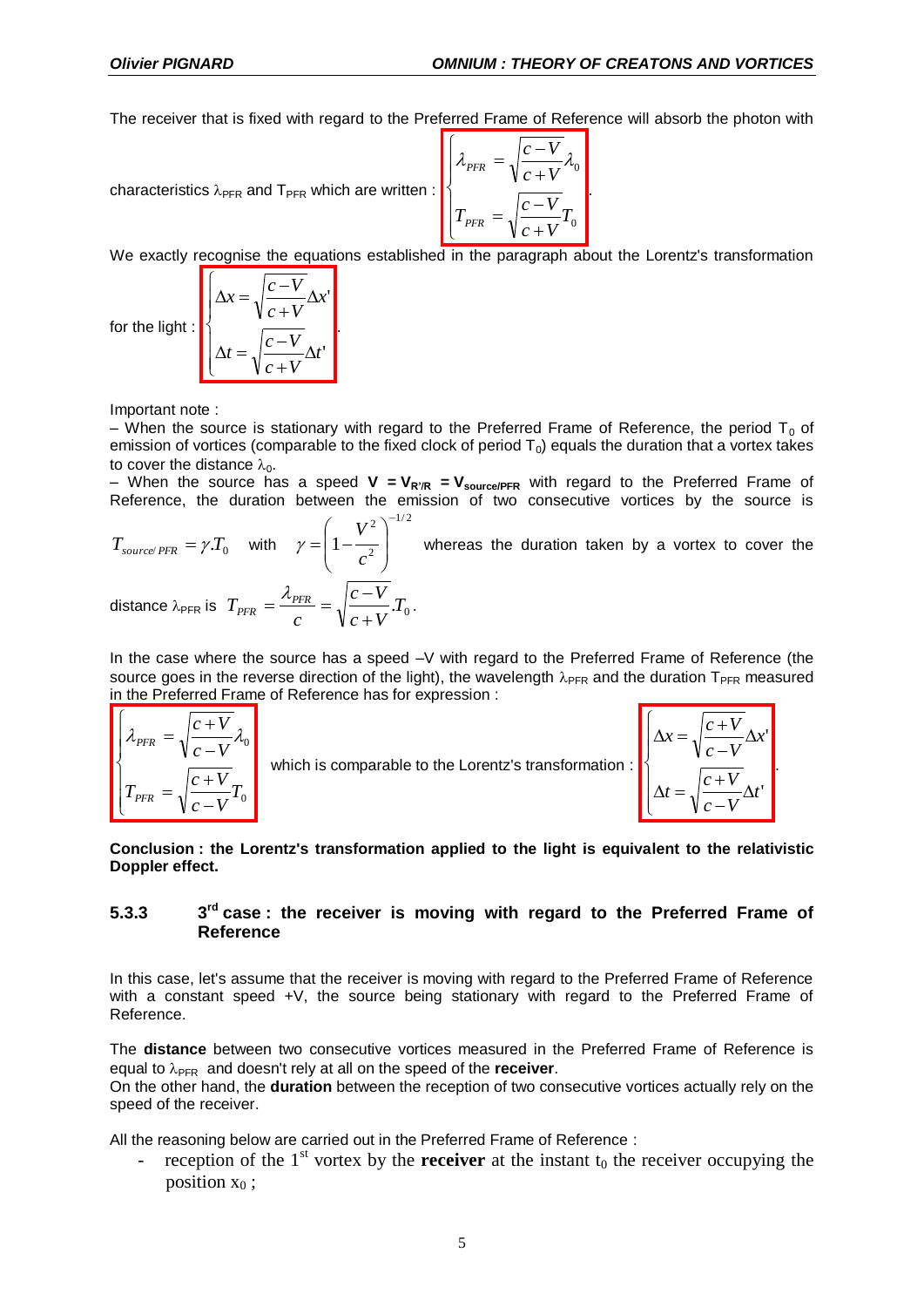'

.

The receiver that is fixed with regard to the Preferred Frame of Reference will absorb the photon with

characteristics 
$$
\lambda_{\text{PFR}}
$$
 and  $T_{\text{PFR}}$  which are written :  

$$
\begin{cases}\n\lambda_{\text{PFR}} = \sqrt{\frac{c - V}{c + V}} \lambda_0 \\
T_{\text{PFR}} = \sqrt{\frac{c - V}{c + V}} T_0\n\end{cases}
$$

We exactly recognise the equations established in the paragraph about the Lorentz's transformation

for the light : 
$$
\Delta x = \sqrt{\frac{c - V}{c + V}} \Delta x'
$$

$$
\Delta t = \sqrt{\frac{c - V}{c + V}} \Delta t'
$$

Important note :

– When the source is stationary with regard to the Preferred Frame of Reference, the period  $T_0$  of emission of vortices (comparable to the fixed clock of period  $T_0$ ) equals the duration that a vortex takes to cover the distance  $\lambda_0$ .

 $-$  When the source has a speed  $V = V_{R'R} = V_{source/PFR}$  with regard to the Preferred Frame of Reference, the duration between the emission of two consecutive vortices by the source is

$$
T_{source/PFR} = \gamma T_0 \quad \text{with} \quad \gamma = \left(1 - \frac{V^2}{c^2}\right)^{-1/2} \text{ whereas the duration taken by a vortex to cover the distance } \lambda_{PFR} \text{ is } T_{PFR} = \frac{\lambda_{PFR}}{c} = \sqrt{\frac{c - V}{c + V}} T_0.
$$

In the case where the source has a speed –V with regard to the Preferred Frame of Reference (the source goes in the reverse direction of the light), the wavelength  $\lambda_{PFR}$  and the duration T<sub>PFR</sub> measured in the Preferred Frame of Reference has for expression :

$$
\begin{cases}\n\lambda_{\text{PFR}} = \sqrt{\frac{c+V}{c-V}} \lambda_0 \\
T_{\text{PFR}} = \sqrt{\frac{c+V}{c-V}} T_0\n\end{cases}
$$
\nwhich is comparable to the Lorentz's transformation:\n
$$
\begin{cases}\n\Delta x = \sqrt{\frac{c+V}{c-V}} \Delta x \\
\Delta t = \sqrt{\frac{c+V}{c-V}} \Delta t\n\end{cases}
$$

**Conclusion : the Lorentz's transformation applied to the light is equivalent to the relativistic Doppler effect.**

#### **5.3.3 3**  $3^{rd}$  case : the receiver is moving with regard to the Preferred Frame of **Reference**

In this case, let's assume that the receiver is moving with regard to the Preferred Frame of Reference with a constant speed +V, the source being stationary with regard to the Preferred Frame of Reference.

The **distance** between two consecutive vortices measured in the Preferred Frame of Reference is equal to  $\lambda_{\text{PFR}}$  and doesn't rely at all on the speed of the **receiver**.

On the other hand, the **duration** between the reception of two consecutive vortices actually rely on the speed of the receiver.

All the reasoning below are carried out in the Preferred Frame of Reference :

- reception of the  $1<sup>st</sup>$  vortex by the **receiver** at the instant  $t_0$  the receiver occupying the position  $x_0$ ;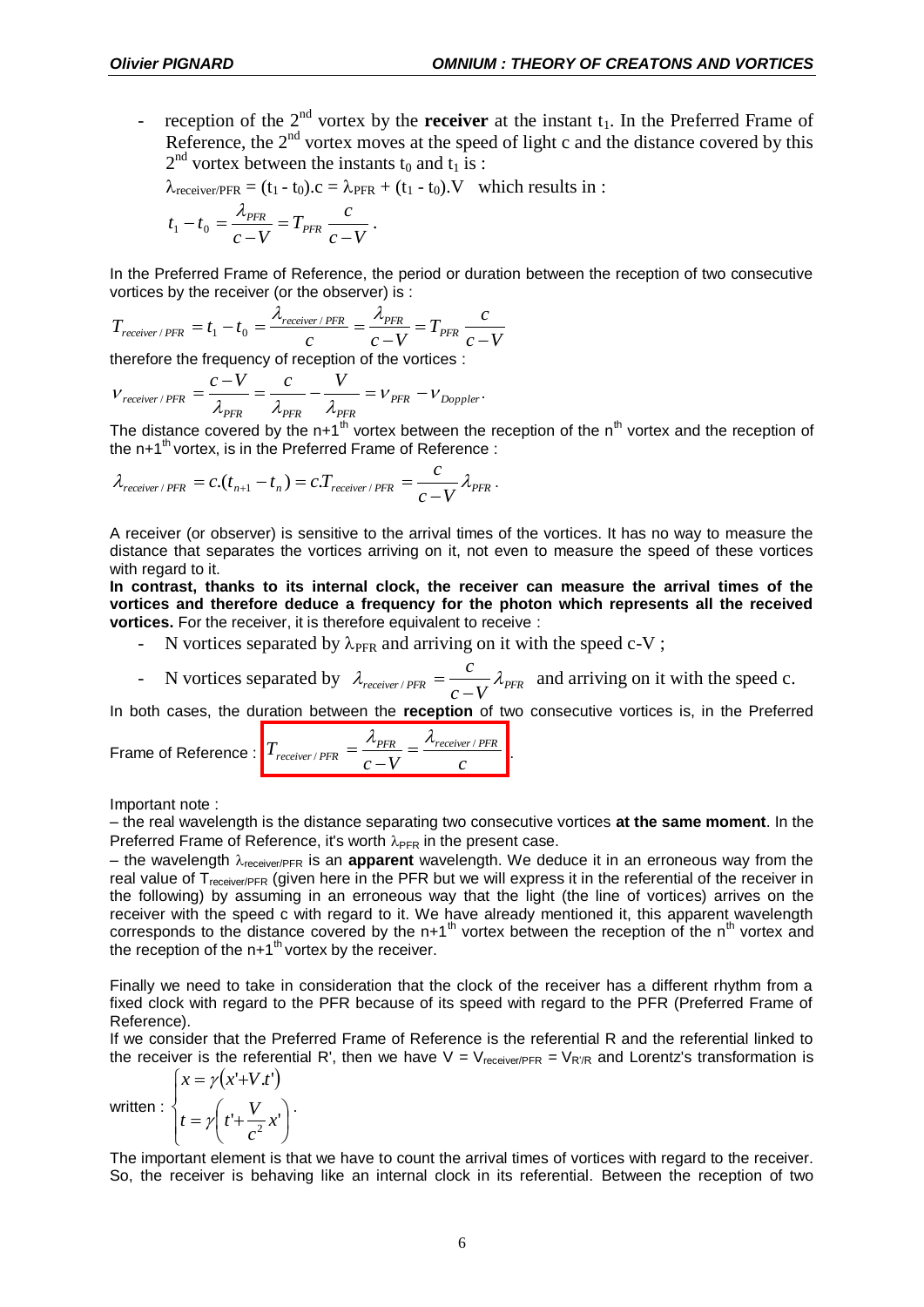- reception of the  $2<sup>nd</sup>$  vortex by the **receiver** at the instant  $t<sub>1</sub>$ . In the Preferred Frame of Reference, the  $2<sup>nd</sup>$  vortex moves at the speed of light c and the distance covered by this  $2<sup>nd</sup>$  vortex between the instants t<sub>0</sub> and t<sub>1</sub> is :

$$
\lambda_{\text{receiver/PFR}} = (t_1 - t_0).c = \lambda_{\text{PFR}} + (t_1 - t_0).V \text{ which results in :}
$$
  

$$
t_1 - t_0 = \frac{\lambda_{\text{PFR}}}{c - V} = T_{\text{PFR}} \frac{c}{c - V}.
$$

In the Preferred Frame of Reference, the period or duration between the reception of two consecutive vortices by the receiver (or the observer) is :

$$
T_{receiver/PFR} = t_1 - t_0 = \frac{\lambda_{receiver/PFR}}{c} = \frac{\lambda_{PFR}}{c - V} = T_{PFR} \frac{c}{c - V}
$$

therefore the frequency of reception of the vortices :

$$
V_{receiver/PFR} = \frac{c - V}{\lambda_{PFR}} = \frac{c}{\lambda_{PFR}} - \frac{V}{\lambda_{PFR}} = V_{PFR} - V_{Doppler}.
$$

The distance covered by the n+1<sup>th</sup> vortex between the reception of the n<sup>th</sup> vortex and the reception of the  $n+1<sup>th</sup>$  vortex, is in the Preferred Frame of Reference :

$$
\lambda_{receiver/PFR} = c.(t_{n+1} - t_n) = c.T_{receiver/PFR} = \frac{c}{c-V} \lambda_{PFR}.
$$

A receiver (or observer) is sensitive to the arrival times of the vortices. It has no way to measure the distance that separates the vortices arriving on it, not even to measure the speed of these vortices with regard to it.

**In contrast, thanks to its internal clock, the receiver can measure the arrival times of the vortices and therefore deduce a frequency for the photon which represents all the received vortices.** For the receiver, it is therefore equivalent to receive :

- N vortices separated by  $\lambda_{\text{PFR}}$  and arriving on it with the speed c-V;
- N vortices separated by  $\lambda_{receiver/PFR} = \frac{c}{c V} \lambda_{PFR}$  $\lambda_{receiver/PFR} = \frac{c}{c - V} \lambda_{PFR}$  and arriving on it with the speed c.

In both cases, the duration between the **reception** of two consecutive vortices is, in the Preferred

Frame of Reference : 
$$
T_{receiver/PER} = \frac{\lambda_{PER}}{c - V} = \frac{\lambda_{receiver/PER}}{c}
$$
.

Important note :

– the real wavelength is the distance separating two consecutive vortices **at the same moment**. In the Preferred Frame of Reference, it's worth  $\lambda_{\text{PFR}}$  in the present case.

– the wavelength  $\lambda_{\text{receiver/PFR}}$  is an **apparent** wavelength. We deduce it in an erroneous way from the real value of T<sub>receiver/PFR</sub> (given here in the PFR but we will express it in the referential of the receiver in the following) by assuming in an erroneous way that the light (the line of vortices) arrives on the receiver with the speed c with regard to it. We have already mentioned it, this apparent wavelength corresponds to the distance covered by the n+1<sup>th</sup> vortex between the reception of the n<sup>th</sup> vortex and the reception of the  $n+1$ <sup>th</sup> vortex by the receiver.

Finally we need to take in consideration that the clock of the receiver has a different rhythm from a fixed clock with regard to the PFR because of its speed with regard to the PFR (Preferred Frame of Reference).

If we consider that the Preferred Frame of Reference is the referential R and the referential linked to the receiver is the referential R', then we have  $V = V_{receiver/PRE} = V_{R'R}$  and Lorentz's transformation is

written :  $\left(x = \gamma(x' + V \cdot t')\right)$  $\overline{\mathcal{L}}$  $\overline{\phantom{a}}$ ┤  $\left(t+\frac{V}{2}x^{\prime}\right)$  $\setminus$  $=\gamma\left(t+\frac{V}{a^2}x\right)$ *c*  $t = \gamma \left( t + \frac{V}{\gamma} \right)$ 

J J .

The important element is that we have to count the arrival times of vortices with regard to the receiver. So, the receiver is behaving like an internal clock in its referential. Between the reception of two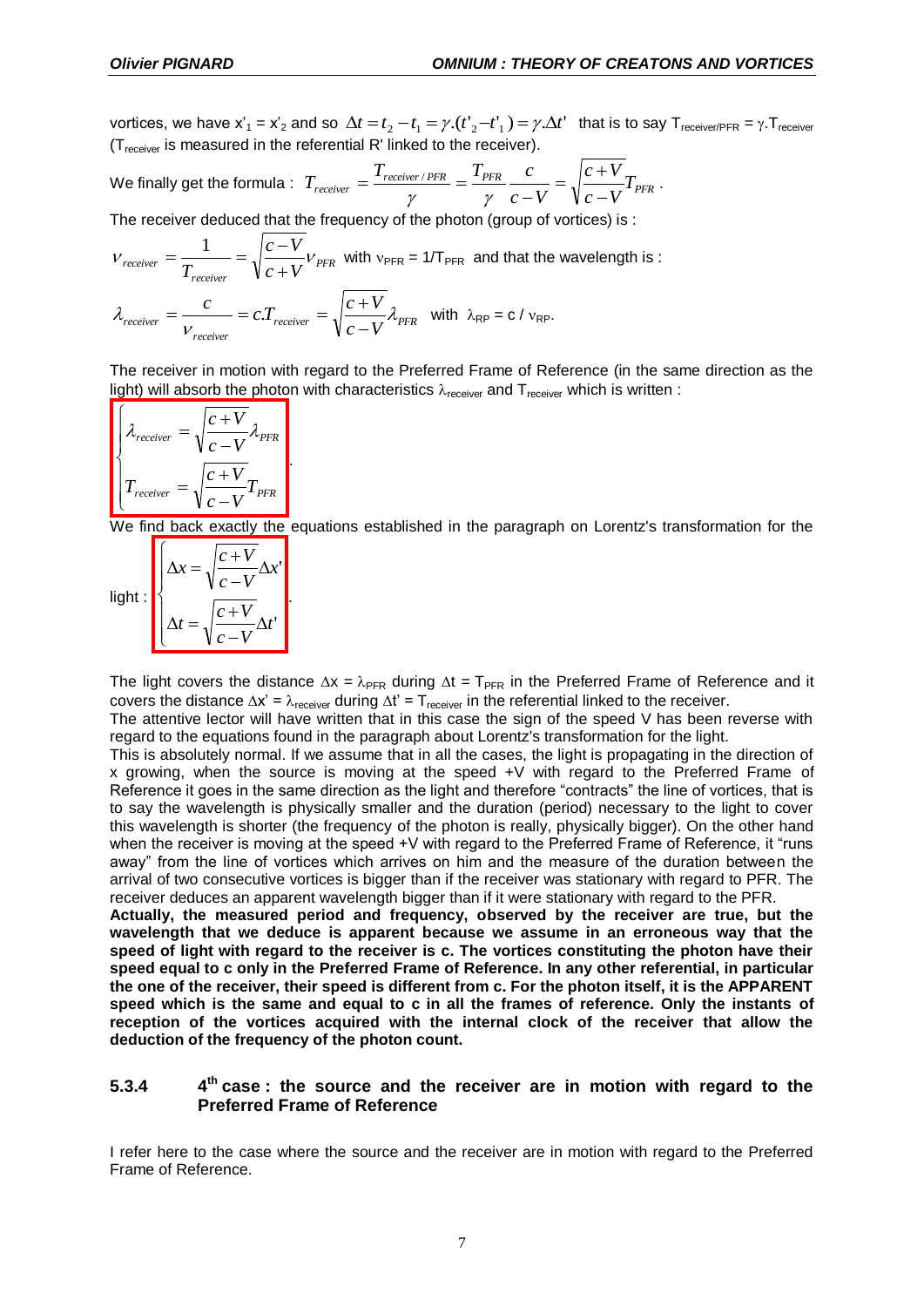vortices, we have  $x'_1 = x'_2$  and so  $\Delta t = t_2 - t_1 = \gamma.(t'_2 - t'_1) = \gamma.\Delta t'$  that is to say T<sub>receiver/PFR</sub> =  $\gamma.\text{T}_{\text{receiver}}$  $(T_{receiver}$  is measured in the referential R' linked to the receiver).

We finally get the formula : 
$$
T_{receiver} = \frac{T_{receiver/PER}}{\gamma} = \frac{T_{PER}}{\gamma} \frac{c}{c - V} = \sqrt{\frac{c + V}{c - V}} T_{PFR}
$$
.

The receiver deduced that the frequency of the photon (group of vortices) is :

$$
V_{receiver} = \frac{1}{T_{receiver}} = \sqrt{\frac{c - V}{c + V}} V_{PFR}
$$
 with  $v_{PFR} = 1/T_{PFR}$  and that the wavelength is:  

$$
\lambda_{receiver} = \frac{c}{V_{receiver}} = c.T_{receiver} = \sqrt{\frac{c + V}{c - V}} \lambda_{PFR}
$$
 with  $\lambda_{RP} = c/v_{RP}$ .

The receiver in motion with regard to the Preferred Frame of Reference (in the same direction as the light) will absorb the photon with characteristics  $\lambda_{\text{receiver}}$  and  $T_{\text{receiver}}$  which is written :

$$
\begin{cases}\n\lambda_{receiver} = \sqrt{\frac{c+V}{c-V}} \lambda_{PFR} \\
T_{receiver} = \sqrt{\frac{c+V}{c-V}} T_{PFR}\n\end{cases}
$$

.

We find back exactly the equations established in the paragraph on Lorentz's transformation for the

| light: | $\overline{c}$ -<br>$x =$ |
|--------|---------------------------|
|        | $c +$<br>$=$              |

The light covers the distance  $\Delta x = \lambda_{PFR}$  during  $\Delta t = T_{PFR}$  in the Preferred Frame of Reference and it covers the distance  $\Delta x' = \lambda_{\text{receiver}}$  during  $\Delta t' = T_{\text{receiver}}$  in the referential linked to the receiver.

The attentive lector will have written that in this case the sign of the speed V has been reverse with regard to the equations found in the paragraph about Lorentz's transformation for the light.

This is absolutely normal. If we assume that in all the cases, the light is propagating in the direction of x growing, when the source is moving at the speed +V with regard to the Preferred Frame of Reference it goes in the same direction as the light and therefore "contracts" the line of vortices, that is to say the wavelength is physically smaller and the duration (period) necessary to the light to cover this wavelength is shorter (the frequency of the photon is really, physically bigger). On the other hand when the receiver is moving at the speed +V with regard to the Preferred Frame of Reference, it "runs away" from the line of vortices which arrives on him and the measure of the duration between the arrival of two consecutive vortices is bigger than if the receiver was stationary with regard to PFR. The receiver deduces an apparent wavelength bigger than if it were stationary with regard to the PFR.

**Actually, the measured period and frequency, observed by the receiver are true, but the wavelength that we deduce is apparent because we assume in an erroneous way that the speed of light with regard to the receiver is c. The vortices constituting the photon have their speed equal to c only in the Preferred Frame of Reference. In any other referential, in particular the one of the receiver, their speed is different from c. For the photon itself, it is the APPARENT speed which is the same and equal to c in all the frames of reference. Only the instants of reception of the vortices acquired with the internal clock of the receiver that allow the deduction of the frequency of the photon count.** 

#### **5.3.4 4 th case : the source and the receiver are in motion with regard to the Preferred Frame of Reference**

I refer here to the case where the source and the receiver are in motion with regard to the Preferred Frame of Reference.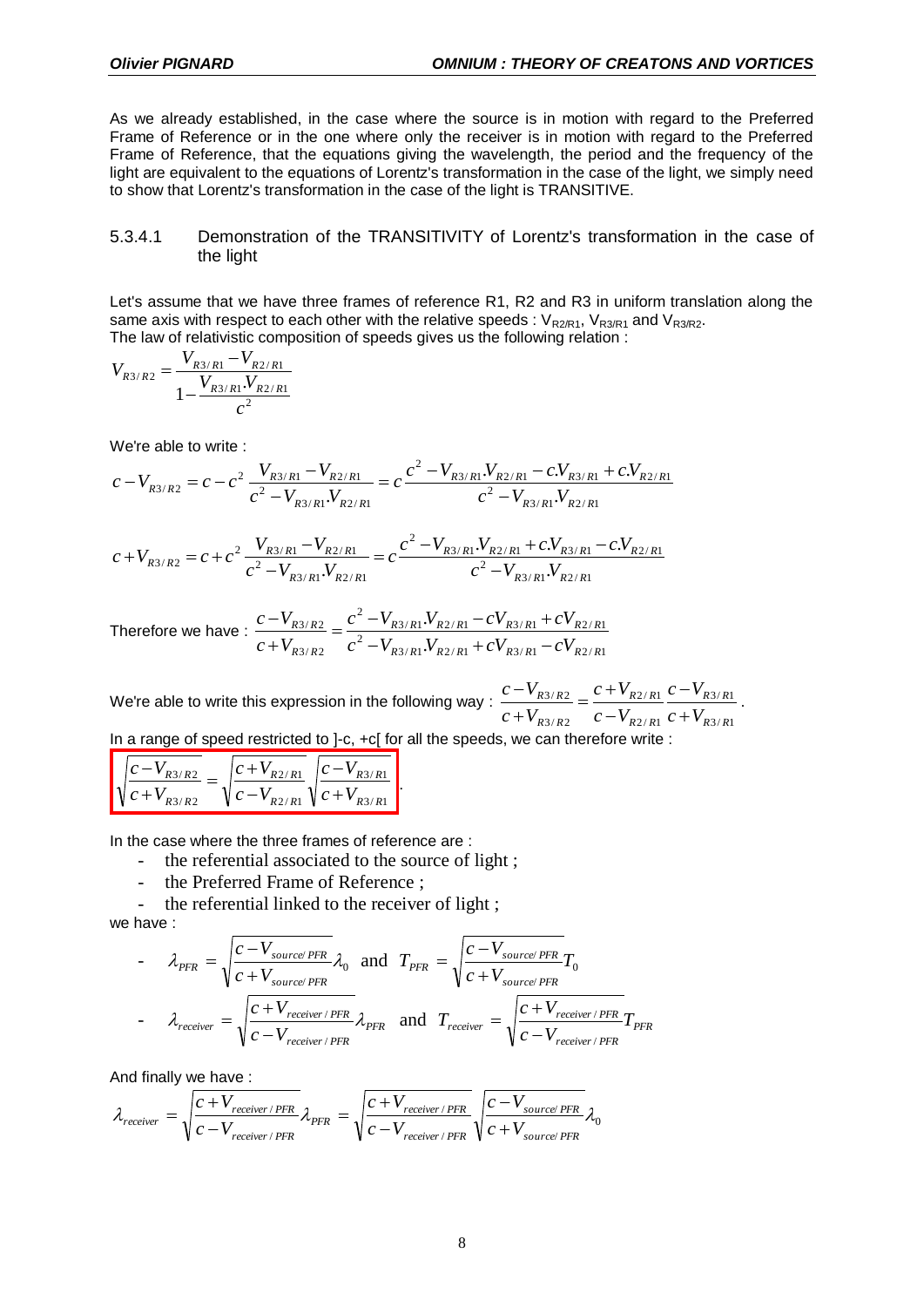As we already established, in the case where the source is in motion with regard to the Preferred Frame of Reference or in the one where only the receiver is in motion with regard to the Preferred Frame of Reference, that the equations giving the wavelength, the period and the frequency of the light are equivalent to the equations of Lorentz's transformation in the case of the light, we simply need to show that Lorentz's transformation in the case of the light is TRANSITIVE.

### 5.3.4.1 Demonstration of the TRANSITIVITY of Lorentz's transformation in the case of the light

Let's assume that we have three frames of reference R1, R2 and R3 in uniform translation along the same axis with respect to each other with the relative speeds :  $V_{R2/R1}$ ,  $V_{R3/R1}$  and  $V_{R3/R2}$ . The law of relativistic composition of speeds gives us the following relation :

$$
V_{R3/R2} = \frac{V_{R3/R1} - V_{R2/R1}}{1 - \frac{V_{R3/R1} \cdot V_{R2/R1}}{c^2}}
$$

We're able to write :

$$
c-V_{R3/R2}=c-c^2\frac{V_{R3/R1}-V_{R2/R1}}{c^2-V_{R3/R1}.V_{R2/R1}}=c\frac{c^2-V_{R3/R1}.V_{R2/R1}-c.V_{R3/R1}+c.V_{R2/R1}}{c^2-V_{R3/R1}.V_{R2/R1}}
$$

$$
c + V_{R3/R2} = c + c^2 \frac{V_{R3/R1} - V_{R2/R1}}{c^2 - V_{R3/R1} V_{R2/R1}} = c \frac{c^2 - V_{R3/R1} V_{R2/R1} + c V_{R3/R1} - c V_{R2/R1}}{c^2 - V_{R3/R1} V_{R2/R1}}
$$

Therefore we have :  $3/R1 \cdot V R2/R1$   $\cup V R3/R1$   $\cup V R2/R1$ 2  $3/R1 \cdot V R2/R1$   $V R3/R1$   $V R2/R1$ 2  $3/R2$  $3/R2$ . .  $R3/R1 \cdot r R2/R1 \cdot r R3/R1 \cdot r R2/R$  $R3/R1 \cdot V R2/R1$   $V R3/R1$   $V R2/R$ *R R R R*  $c^2 - V_{R3/R1} V_{R2/R1} + cV_{R3/R1} - cV$  $c^2 - V_{R3/R1} V_{R2/R1} - cV_{R3/R1} + cV$  $c + V$  $c - V$  $-V_{R3/R1}.V_{R2/R1}$  +  $cV_{R3/R1}$  –  $=\frac{c^2-V_{R3/R1}V_{R2/R1}-cV_{R3/R1}+}{C}$  $^{+}$  $\overline{a}$ 

We're able to write this expression in the following way :  $3/R1$  $3/R1$  $2/R1$  $2/R1$  $3/R2$  $3/R2$ *R R R R R R R R R R R R*  $c + V$  $c - V$  $c - V$  $c + V$  $c + V$  $c - V$  $\overline{+}$  $\overline{a}$  $\overline{a}$  $=\frac{c+1}{c+1}$  $^{+}$  $\frac{-V_{R3/R2}}{V_{R3/R2}} = \frac{c + V_{R2/R1}}{V_{R3/R1}} \frac{c - V_{R3/R1}}{V_{R3/R1}}$ 

In a range of speed restricted to ]-c, +c[ for all the speeds, we can therefore write :

.

$$
\sqrt{\frac{c - V_{R3/R2}}{c + V_{R3/R2}}} = \sqrt{\frac{c + V_{R2/R1}}{c - V_{R2/R1}}} \sqrt{\frac{c - V_{R3/R1}}{c + V_{R3/R1}}}
$$

In the case where the three frames of reference are :

- the referential associated to the source of light;
- the Preferred Frame of Reference ;
- the referential linked to the receiver of light;

we have :

- 
$$
\lambda_{PFR} = \sqrt{\frac{c - V_{source/PRE}}{c + V_{source/PRE}}} \lambda_0
$$
 and  $T_{PFR} = \sqrt{\frac{c - V_{source/PRE}}{c + V_{source/PRE}}} T_0$   
-  $\lambda_{receiver} = \sqrt{\frac{c + V_{receiver/PRE}}{c - V_{receiver/PRE}}} \lambda_{PFR}$  and  $T_{receiver} = \sqrt{\frac{c + V_{receiver/PRE}}{c - V_{receiver/PRE}}} T_{PFR}$ 

And finally we have :

$$
\lambda_{receiver} = \sqrt{\frac{c + V_{receiver/PFR}}{c - V_{receiver/PFR}}} \lambda_{PFR} = \sqrt{\frac{c + V_{receiver/PFR}}{c - V_{receiver/PFR}}} \sqrt{\frac{c - V_{source/PFR}}{c + V_{source/PFR}}} \lambda_0
$$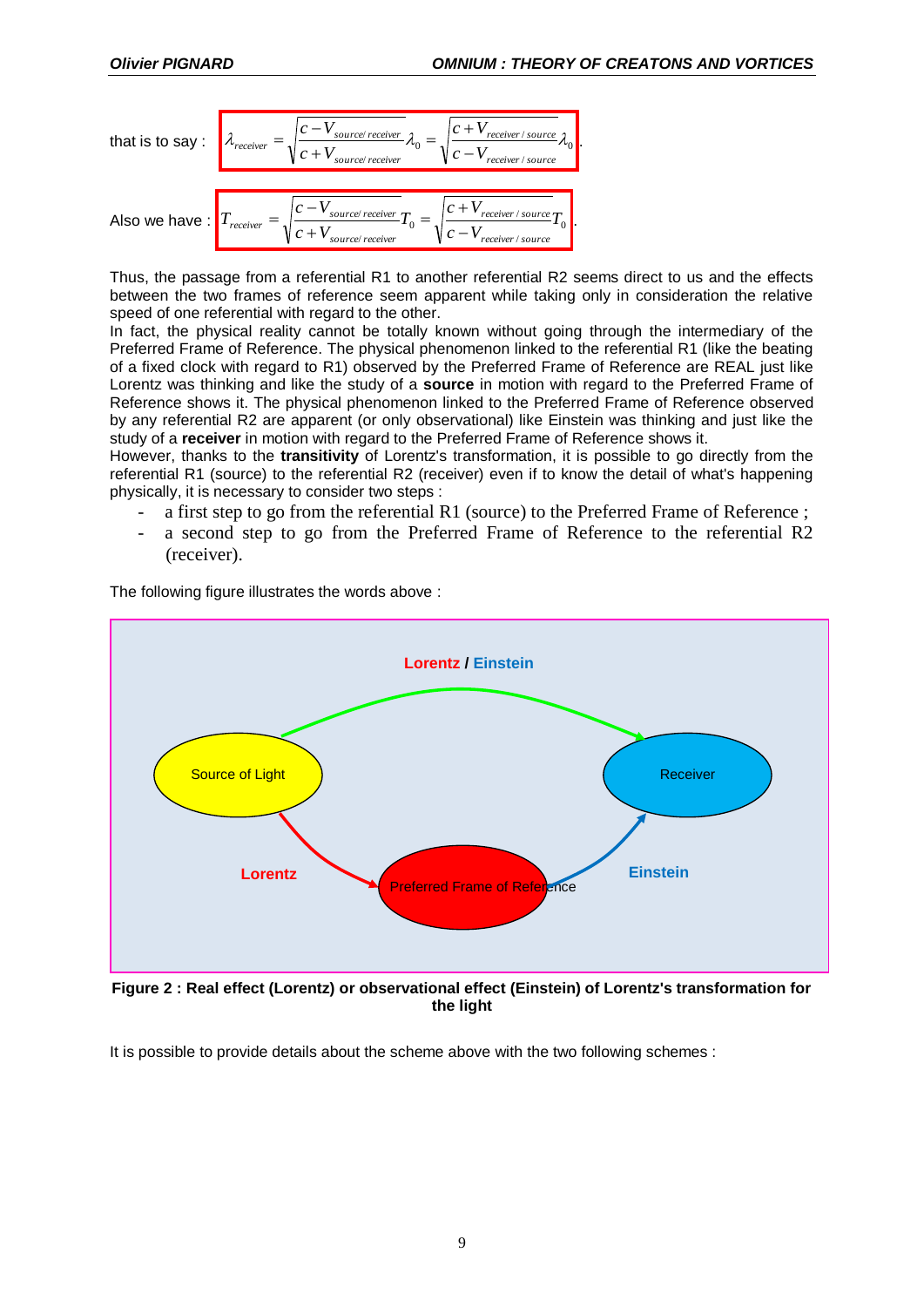that is to say : 
$$
\lambda_{receiver} = \sqrt{\frac{c - V_{source/receiver}}{c + V_{source/receiver}}} \lambda_0 = \sqrt{\frac{c + V_{receiver/source}}{c - V_{receiver/source}} \lambda_0}.
$$
  
Also we have : 
$$
T_{receiver} = \sqrt{\frac{c - V_{source/receiver}}{c + V_{source/receiver}} T_0} = \sqrt{\frac{c + V_{receiver/source}}{c - V_{receiver/source}} T_0}.
$$

Thus, the passage from a referential R1 to another referential R2 seems direct to us and the effects between the two frames of reference seem apparent while taking only in consideration the relative speed of one referential with regard to the other.

In fact, the physical reality cannot be totally known without going through the intermediary of the Preferred Frame of Reference. The physical phenomenon linked to the referential R1 (like the beating of a fixed clock with regard to R1) observed by the Preferred Frame of Reference are REAL just like Lorentz was thinking and like the study of a **source** in motion with regard to the Preferred Frame of Reference shows it. The physical phenomenon linked to the Preferred Frame of Reference observed by any referential R2 are apparent (or only observational) like Einstein was thinking and just like the study of a **receiver** in motion with regard to the Preferred Frame of Reference shows it.

However, thanks to the **transitivity** of Lorentz's transformation, it is possible to go directly from the referential R1 (source) to the referential R2 (receiver) even if to know the detail of what's happening physically, it is necessary to consider two steps :

- a first step to go from the referential R1 (source) to the Preferred Frame of Reference ;
- a second step to go from the Preferred Frame of Reference to the referential R2 (receiver).

The following figure illustrates the words above :



**Figure 2 : Real effect (Lorentz) or observational effect (Einstein) of Lorentz's transformation for the light**

It is possible to provide details about the scheme above with the two following schemes :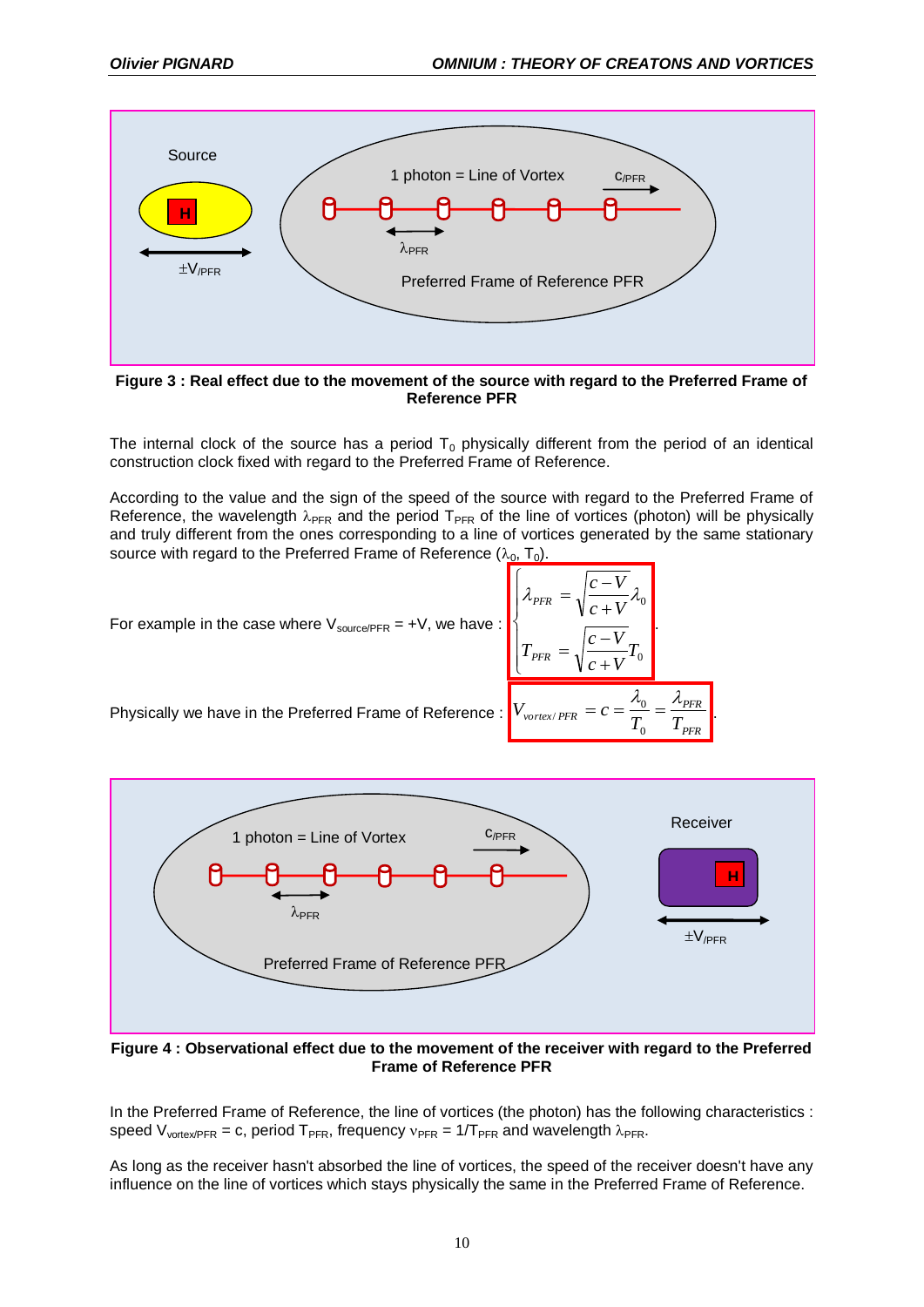

**Figure 3 : Real effect due to the movement of the source with regard to the Preferred Frame of Reference PFR**

The internal clock of the source has a period  $T_0$  physically different from the period of an identical construction clock fixed with regard to the Preferred Frame of Reference.

According to the value and the sign of the speed of the source with regard to the Preferred Frame of Reference, the wavelength  $\lambda_{PFR}$  and the period  $T_{PFR}$  of the line of vortices (photon) will be physically and truly different from the ones corresponding to a line of vortices generated by the same stationary source with regard to the Preferred Frame of Reference  $(\lambda_0, T_0)$ .

> $\overline{ }$  $\overline{\phantom{a}}$  $\overline{\mathcal{L}}$

*T*

*PFR*

 $\ddot{}$  $\overline{a}$ 

0

*T*  $c + V$  $c - V$ 

 $=c=\frac{r_0}{r}=$  $\mathbf{0}$  $\mathbf{0}$ 

0

.

 $\lambda_{0}$   $\lambda_{PFR}$ 

*PFR*

 $\overline{+}$ -

 $c + V$  $c - V$ 

 $=$ 

 $=$ 

 $\lambda_{PFR} = \sqrt{\frac{V}{I_{C}}\lambda_{0}}$ 

 $\overline{\phantom{a}}$  $\overline{\phantom{a}}$  $\left\{ \right.$ 

 $\int$ 

For example in the case where  $V_{source/PER} = +V$ , we have :

Physically we have in the Preferred Frame of Reference :  $V_{vortex/PFR} = c = \frac{R_0}{T_0} = \frac{R_{PFR}}{T_{PFR}}$ 



**Figure 4 : Observational effect due to the movement of the receiver with regard to the Preferred Frame of Reference PFR**

In the Preferred Frame of Reference, the line of vortices (the photon) has the following characteristics : speed  $V_{vortexPFR} = c$ , period  $T_{PFR}$ , frequency  $v_{PFR} = 1/T_{PFR}$  and wavelength  $\lambda_{PFR}$ .

As long as the receiver hasn't absorbed the line of vortices, the speed of the receiver doesn't have any influence on the line of vortices which stays physically the same in the Preferred Frame of Reference.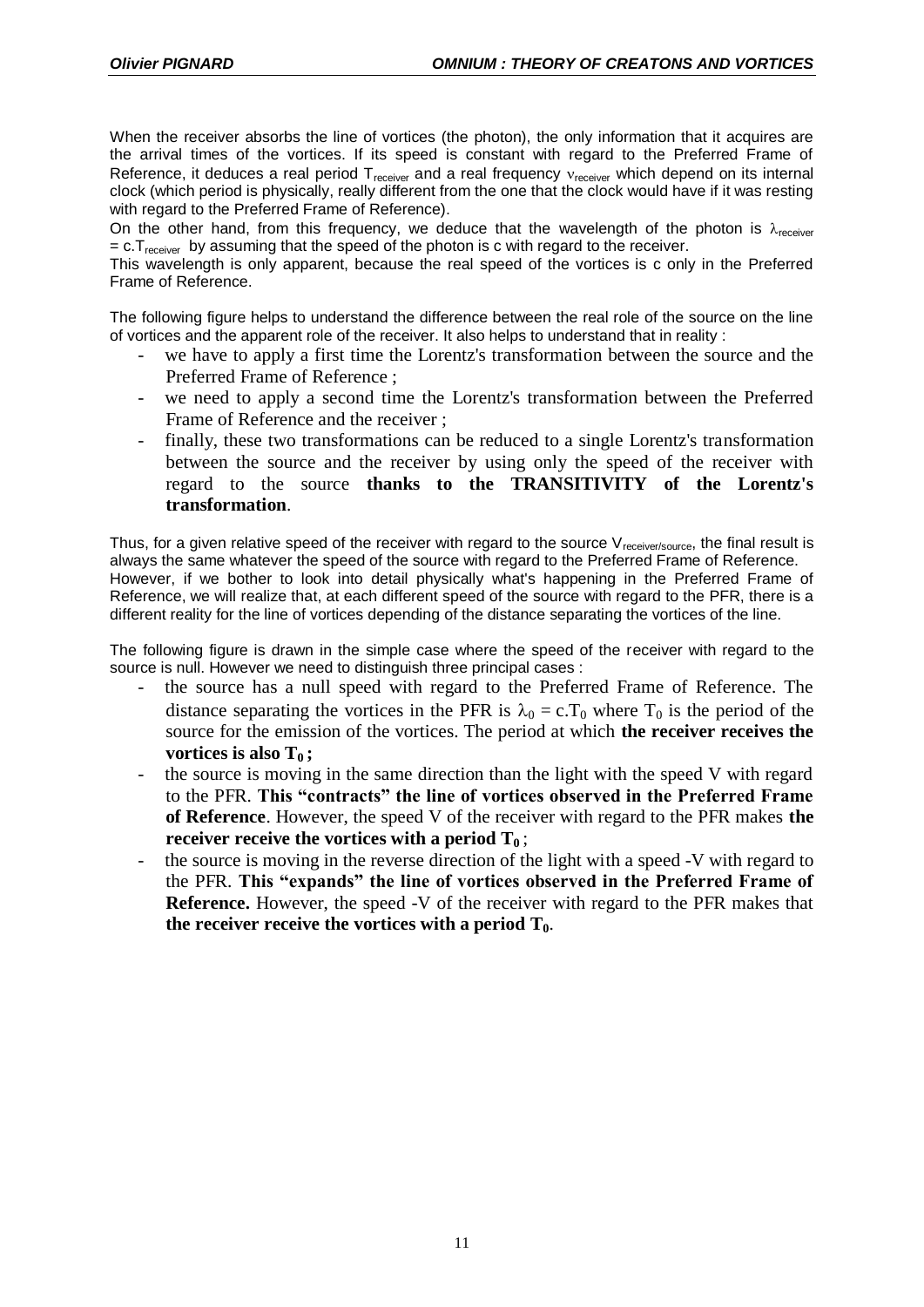When the receiver absorbs the line of vortices (the photon), the only information that it acquires are the arrival times of the vortices. If its speed is constant with regard to the Preferred Frame of Reference, it deduces a real period  $T_{\text{receiver}}$  and a real frequency  $v_{\text{receiver}}$  which depend on its internal clock (which period is physically, really different from the one that the clock would have if it was resting with regard to the Preferred Frame of Reference).

On the other hand, from this frequency, we deduce that the wavelength of the photon is  $\lambda_{\text{receiver}}$  $= c.T<sub>receiver</sub>$  by assuming that the speed of the photon is c with regard to the receiver.

This wavelength is only apparent, because the real speed of the vortices is c only in the Preferred Frame of Reference.

The following figure helps to understand the difference between the real role of the source on the line of vortices and the apparent role of the receiver. It also helps to understand that in reality :

- we have to apply a first time the Lorentz's transformation between the source and the Preferred Frame of Reference ;
- we need to apply a second time the Lorentz's transformation between the Preferred Frame of Reference and the receiver ;
- finally, these two transformations can be reduced to a single Lorentz's transformation between the source and the receiver by using only the speed of the receiver with regard to the source **thanks to the TRANSITIVITY of the Lorentz's transformation**.

Thus, for a given relative speed of the receiver with regard to the source  $V_{\text{receiver/source}}$ , the final result is always the same whatever the speed of the source with regard to the Preferred Frame of Reference. However, if we bother to look into detail physically what's happening in the Preferred Frame of Reference, we will realize that, at each different speed of the source with regard to the PFR, there is a different reality for the line of vortices depending of the distance separating the vortices of the line.

The following figure is drawn in the simple case where the speed of the receiver with regard to the source is null. However we need to distinguish three principal cases :

- the source has a null speed with regard to the Preferred Frame of Reference. The distance separating the vortices in the PFR is  $\lambda_0 = c \cdot T_0$  where  $T_0$  is the period of the source for the emission of the vortices. The period at which **the receiver receives the vortices is also T<sup>0</sup> ;**
- the source is moving in the same direction than the light with the speed V with regard to the PFR. **This "contracts" the line of vortices observed in the Preferred Frame of Reference**. However, the speed V of the receiver with regard to the PFR makes **the receiver receive the vortices with a period T0** ;
- the source is moving in the reverse direction of the light with a speed -V with regard to the PFR. **This "expands" the line of vortices observed in the Preferred Frame of Reference.** However, the speed -V of the receiver with regard to the PFR makes that the receiver receive the vortices with a period  $T_0$ .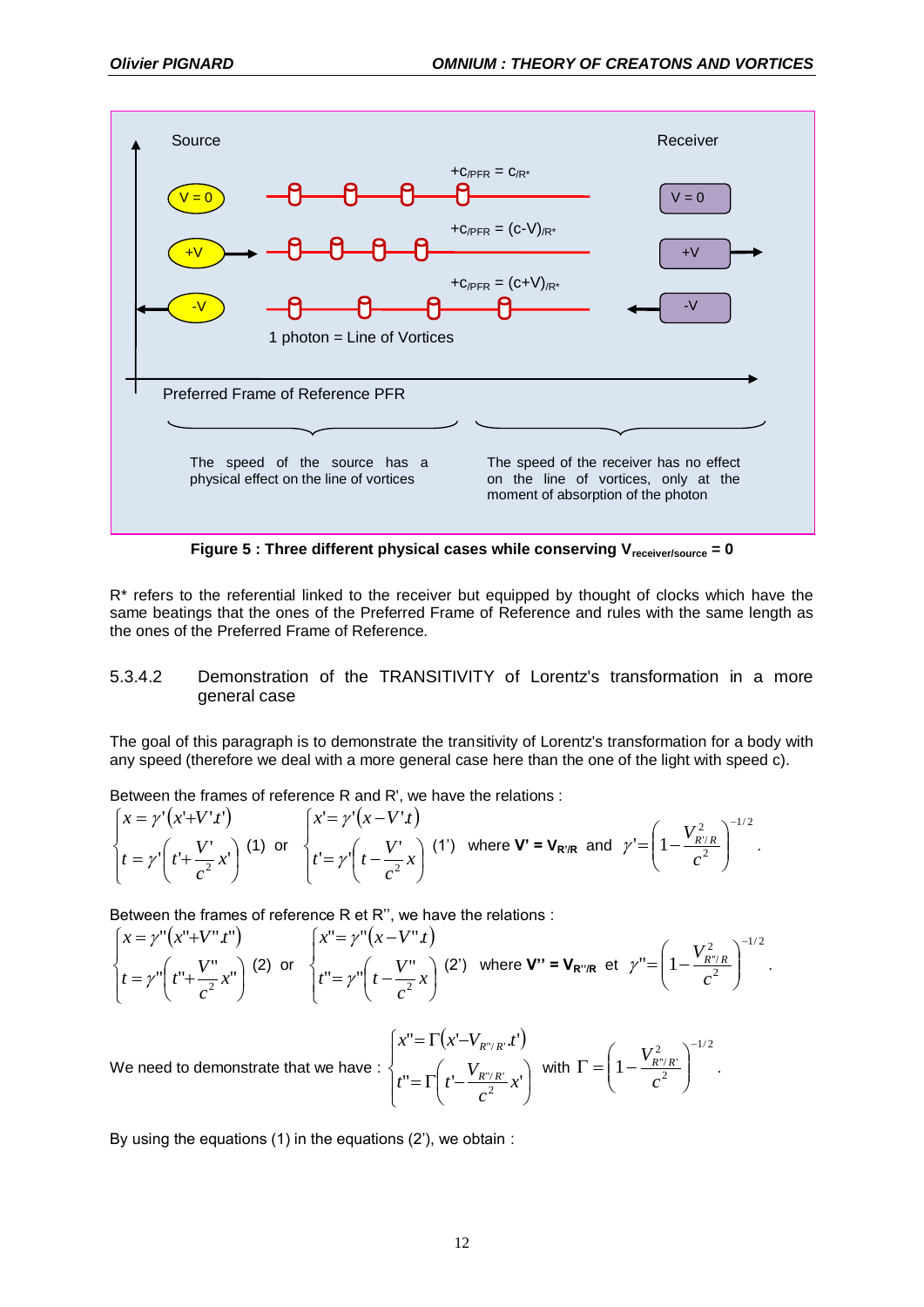

**Figure 5 : Three different physical cases while conserving Vreceiver/source = 0**

R\* refers to the referential linked to the receiver but equipped by thought of clocks which have the same beatings that the ones of the Preferred Frame of Reference and rules with the same length as the ones of the Preferred Frame of Reference.

### 5.3.4.2 Demonstration of the TRANSITIVITY of Lorentz's transformation in a more general case

The goal of this paragraph is to demonstrate the transitivity of Lorentz's transformation for a body with any speed (therefore we deal with a more general case here than the one of the light with speed c).

Between the frames of reference R and R', we have the relations :

$$
\begin{cases}\nx = \gamma'(x'+V' \cdot t') \\
t = \gamma'\left(t' + \frac{V'}{c^2}x'\right)\n\end{cases}\n\quad \text{(1) or} \quad\n\begin{cases}\nx' = \gamma'(x-V' \cdot t) \\
t' = \gamma'\left(t - \frac{V'}{c^2}x\right)\n\end{cases}\n\quad \text{(1') where } \mathbf{V'} = \mathbf{V}_{\mathbf{R'}/\mathbf{R}} \text{ and } \gamma' = \left(1 - \frac{V_{\mathbf{R'}/\mathbf{R}}^2}{c^2}\right)^{-1/2}.
$$

Between the frames of reference R et R'', we have the relations :

$$
\begin{cases} x = \gamma''(x'' + V'' \, t'') \\ t = \gamma''\left(t'' + \frac{V''}{c^2} x''\right) \end{cases} (2) \text{ or } \begin{cases} x'' = \gamma''(x - V'' \, t) \\ t'' = \gamma''\left(t - \frac{V''}{c^2} x\right) \end{cases} (2') \text{ where } \mathbf{V''} = \mathbf{V}_{\mathbf{R''/R}} \text{ et } \gamma'' = \left(1 - \frac{V_{R''/R}^2}{c^2}\right)^{-1/2}.
$$

We need to demonstrate that we have : 
$$
\begin{cases} x'' = \Gamma(x'-V_{R''/R'}t') \\ t'' = \Gamma(t'-\frac{V_{R''/R}}{c^2}x') \end{cases}
$$
 with  $\Gamma = \left(1-\frac{V_{R''/R'}^2}{c^2}\right)^{-1/2}$ .

By using the equations (1) in the equations (2'), we obtain :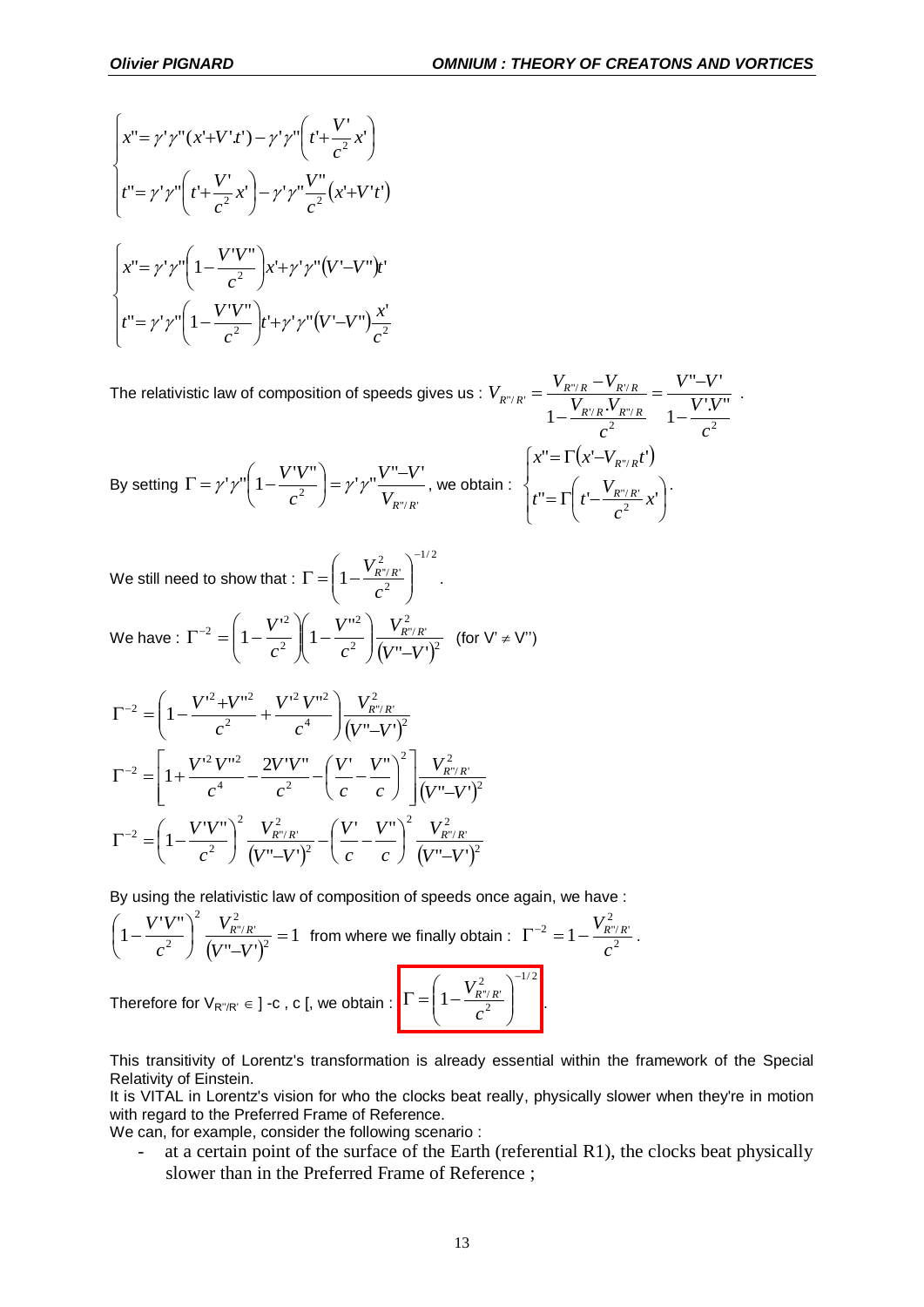$$
\begin{cases}\nx'' = \gamma' \gamma''(x'+V' \cdot t') - \gamma' \gamma'' \left( t' + \frac{V'}{c^2} x' \right) \\
t'' = \gamma' \gamma'' \left( t' + \frac{V'}{c^2} x' \right) - \gamma' \gamma'' \frac{V''}{c^2} (x'+V' \cdot t') \\
x'' = \gamma' \gamma'' \left( 1 - \frac{V'V''}{c^2} \right) x' + \gamma' \gamma'' (V' - V'') \cdot t' \\
t'' = \gamma' \gamma'' \left( 1 - \frac{V'V''}{c^2} \right) t' + \gamma' \gamma'' (V' - V'') \frac{x'}{c^2}\n\end{cases}
$$

The relativistic law of composition of speeds gives us : 2  $\frac{1}{2}$   $\frac{2}{3}$  $\forall R \cdot^{\mathbf{v}} R$ "/  $v_{R'} = \frac{v_{R''/R} - v_{R'/R}}{1 - \frac{V_{R'/R} \cdot V_{R''/R}}{2}} = \frac{v - v}{1 - \frac{V' \cdot V''}{2}}$  $"$ - $V'$  $1-\frac{V_{R'R}}{V_R}$ *c V V V V c*  $V_{R/R}$ *V*  $V_{R''/R'} = \frac{V_{R''/R} - V}{V}$  $R'/R \cdot^V R''/R$  $I_{R''/R'} = \frac{V_{R''/R} - V_{R'/R}}{V}$  $\overline{a}$  $=\frac{V''-}{V}$  $\overline{a}$  $=\frac{V_{R''/R}-V_{R'/R}}{V_{R}-V_{R'/R}}=\frac{V''-V'}{V_{R}/V_{R}}$ 

By setting 
$$
\Gamma = \gamma' \gamma'' \left( 1 - \frac{V'V''}{c^2} \right) = \gamma' \gamma'' \frac{V'' - V'}{V_{R''/R'}}
$$
, we obtain: 
$$
\begin{cases} x'' = \Gamma \left( x' - V_{R''/R'} t' \right) \\ t'' = \Gamma \left( t' - \frac{V_{R''/R'}}{c^2} x' \right) \end{cases}
$$

We still need to show that :  $\frac{1}{2}$ 2 2  $1 - \frac{r_{R''/R'}}{2}$  $\overline{a}$  $\overline{\phantom{a}}$ J  $\setminus$  $\overline{\phantom{a}}$  $\setminus$ ſ  $\Gamma = |1$ *c*  $\left(\frac{V_{R''/R'}}{2}\right)^{1/2}$ .

We have: 
$$
\Gamma^{-2} = \left(1 - \frac{V'^2}{c^2}\right) \left(1 - \frac{V''^2}{c^2}\right) \frac{V_{R''/R'}^2}{(V'' - V')^2}
$$
 (for  $V' \neq V''$ )

$$
\Gamma^{-2} = \left(1 - \frac{V'^2 + V''^2}{c^2} + \frac{V'^2 V''^2}{c^4}\right) \frac{V_{R''/R'}^2}{(V'' - V')^2}
$$

$$
\Gamma^{-2} = \left[1 + \frac{V'^2 V''^2}{c^4} - \frac{2V'V''}{c^2} - \left(\frac{V'}{c} - \frac{V''}{c}\right)^2\right] \frac{V_{R''/R'}^2}{(V'' - V')^2}
$$

$$
\Gamma^{-2} = \left(1 - \frac{V'V''}{c^2}\right)^2 \frac{V_{R''/R'}^2}{(V'' - V')^2} - \left(\frac{V'}{c} - \frac{V''}{c}\right)^2 \frac{V_{R''/R'}^2}{(V'' - V')^2}
$$

By using the relativistic law of composition of speeds once again, we have :

$$
\left(1 - \frac{V'V''}{c^2}\right)^2 \frac{V_{R''/R'}^2}{\left(V'' - V'\right)^2} = 1
$$
 from where we finally obtain :  $\Gamma^{-2} = 1 - \frac{V_{R''/R'}^2}{c^2}$ .  
Therefore for  $V_{R''/R'} \in ]-c$ , c[, we obtain :  $\Gamma = \left(1 - \frac{V_{R''/R'}^2}{c^2}\right)^{-1/2}$ .

Therefore for  $V_{R''/R'} \in$  ] -c , c [, we obtain :  $\left| I \right| = \left| I - \frac{R'}{c^2} \right|$ 

This transitivity of Lorentz's transformation is already essential within the framework of the Special Relativity of Einstein.

*c*

.

 $\setminus$ 

It is VITAL in Lorentz's vision for who the clocks beat really, physically slower when they're in motion with regard to the Preferred Frame of Reference.

We can, for example, consider the following scenario :

- at a certain point of the surface of the Earth (referential R1), the clocks beat physically slower than in the Preferred Frame of Reference ;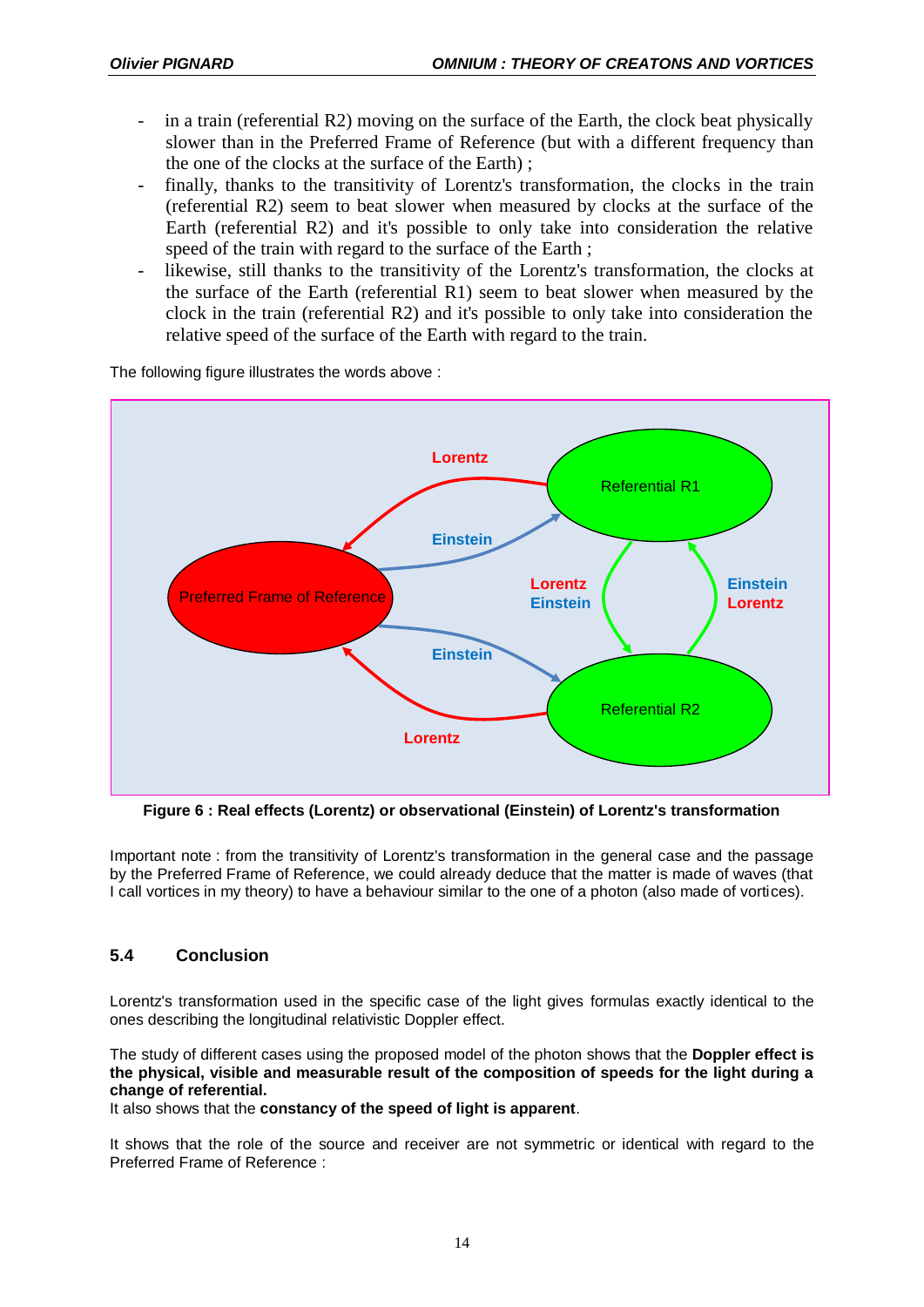- in a train (referential  $R2$ ) moving on the surface of the Earth, the clock beat physically slower than in the Preferred Frame of Reference (but with a different frequency than the one of the clocks at the surface of the Earth) ;
- finally, thanks to the transitivity of Lorentz's transformation, the clocks in the train (referential R2) seem to beat slower when measured by clocks at the surface of the Earth (referential R2) and it's possible to only take into consideration the relative speed of the train with regard to the surface of the Earth ;
- likewise, still thanks to the transitivity of the Lorentz's transformation, the clocks at the surface of the Earth (referential R1) seem to beat slower when measured by the clock in the train (referential R2) and it's possible to only take into consideration the relative speed of the surface of the Earth with regard to the train.

The following figure illustrates the words above :



**Figure 6 : Real effects (Lorentz) or observational (Einstein) of Lorentz's transformation**

Important note : from the transitivity of Lorentz's transformation in the general case and the passage by the Preferred Frame of Reference, we could already deduce that the matter is made of waves (that I call vortices in my theory) to have a behaviour similar to the one of a photon (also made of vortices).

## **5.4 Conclusion**

Lorentz's transformation used in the specific case of the light gives formulas exactly identical to the ones describing the longitudinal relativistic Doppler effect.

The study of different cases using the proposed model of the photon shows that the **Doppler effect is the physical, visible and measurable result of the composition of speeds for the light during a change of referential.**

It also shows that the **constancy of the speed of light is apparent**.

It shows that the role of the source and receiver are not symmetric or identical with regard to the Preferred Frame of Reference :